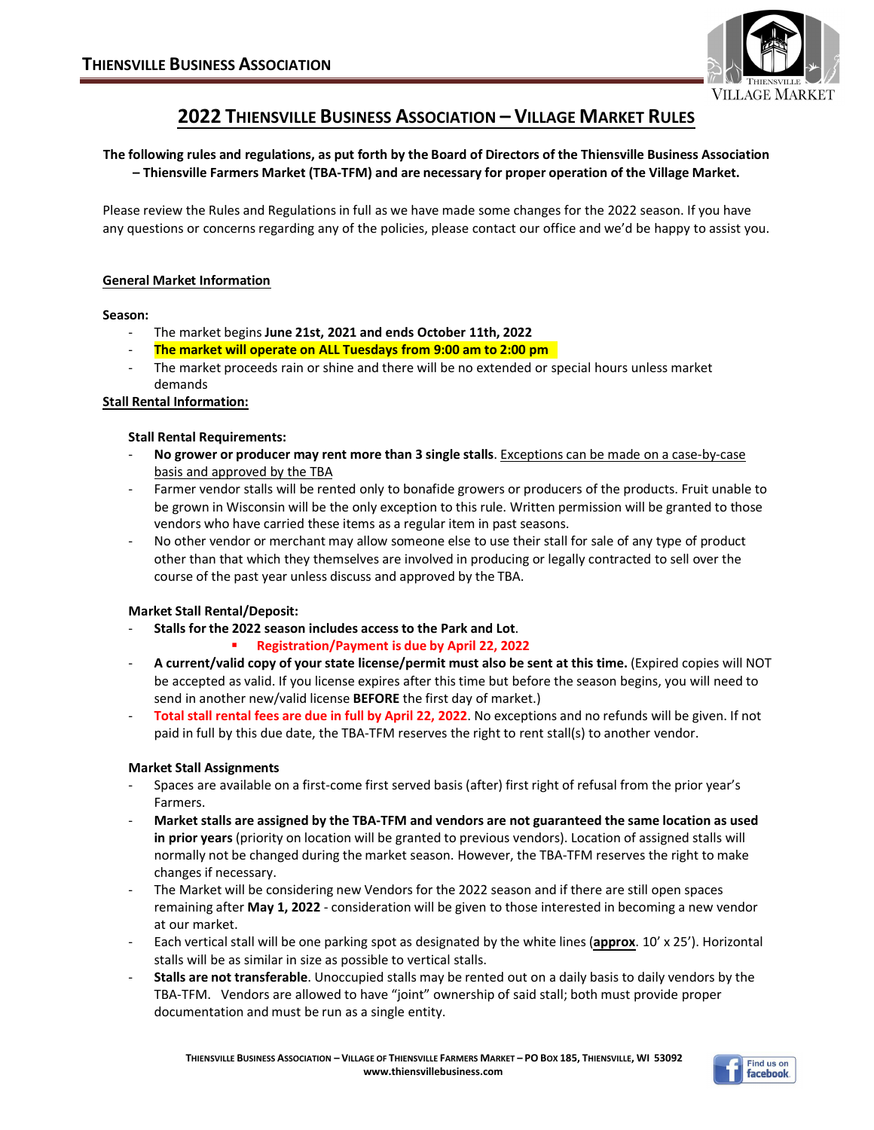

# **2022 THIENSVILLE BUSINESS ASSOCIATION – VILLAGE MARKET RULES**

**The following rules and regulations, as put forth by the Board of Directors of the Thiensville Business Association – Thiensville Farmers Market (TBA-TFM) and are necessary for proper operation of the Village Market.**

Please review the Rules and Regulations in full as we have made some changes for the 2022 season. If you have any questions or concerns regarding any of the policies, please contact our office and we'd be happy to assist you.

## **General Market Information**

#### **Season:**

- The market begins **June 21st, 2021 and ends October 11th, 2022**
- **The market will operate on ALL Tuesdays from 9:00 am to 2:00 pm**
- The market proceeds rain or shine and there will be no extended or special hours unless market demands

## **Stall Rental Information:**

#### **Stall Rental Requirements:**

- **No grower or producer may rent more than 3 single stalls**. Exceptions can be made on a case-by-case basis and approved by the TBA
- Farmer vendor stalls will be rented only to bonafide growers or producers of the products. Fruit unable to be grown in Wisconsin will be the only exception to this rule. Written permission will be granted to those vendors who have carried these items as a regular item in past seasons.
- No other vendor or merchant may allow someone else to use their stall for sale of any type of product other than that which they themselves are involved in producing or legally contracted to sell over the course of the past year unless discuss and approved by the TBA.

## **Market Stall Rental/Deposit:**

- **Stalls for the 2022 season includes access to the Park and Lot**.
	- ß **Registration/Payment is due by April 22, 2022**
- **A current/valid copy of your state license/permit must also be sent at this time.** (Expired copies will NOT be accepted as valid. If you license expires after this time but before the season begins, you will need to send in another new/valid license **BEFORE** the first day of market.)
- **Total stall rental fees are due in full by April 22, 2022**. No exceptions and no refunds will be given. If not paid in full by this due date, the TBA-TFM reserves the right to rent stall(s) to another vendor.

## **Market Stall Assignments**

- Spaces are available on a first-come first served basis (after) first right of refusal from the prior year's Farmers.
- **Market stalls are assigned by the TBA-TFM and vendors are not guaranteed the same location as used in prior years** (priority on location will be granted to previous vendors). Location of assigned stalls will normally not be changed during the market season. However, the TBA-TFM reserves the right to make changes if necessary.
- The Market will be considering new Vendors for the 2022 season and if there are still open spaces remaining after **May 1, 2022** - consideration will be given to those interested in becoming a new vendor at our market.
- Each vertical stall will be one parking spot as designated by the white lines (**approx**. 10' x 25'). Horizontal stalls will be as similar in size as possible to vertical stalls.
- **Stalls are not transferable**. Unoccupied stalls may be rented out on a daily basis to daily vendors by the TBA-TFM. Vendors are allowed to have "joint" ownership of said stall; both must provide proper documentation and must be run as a single entity.

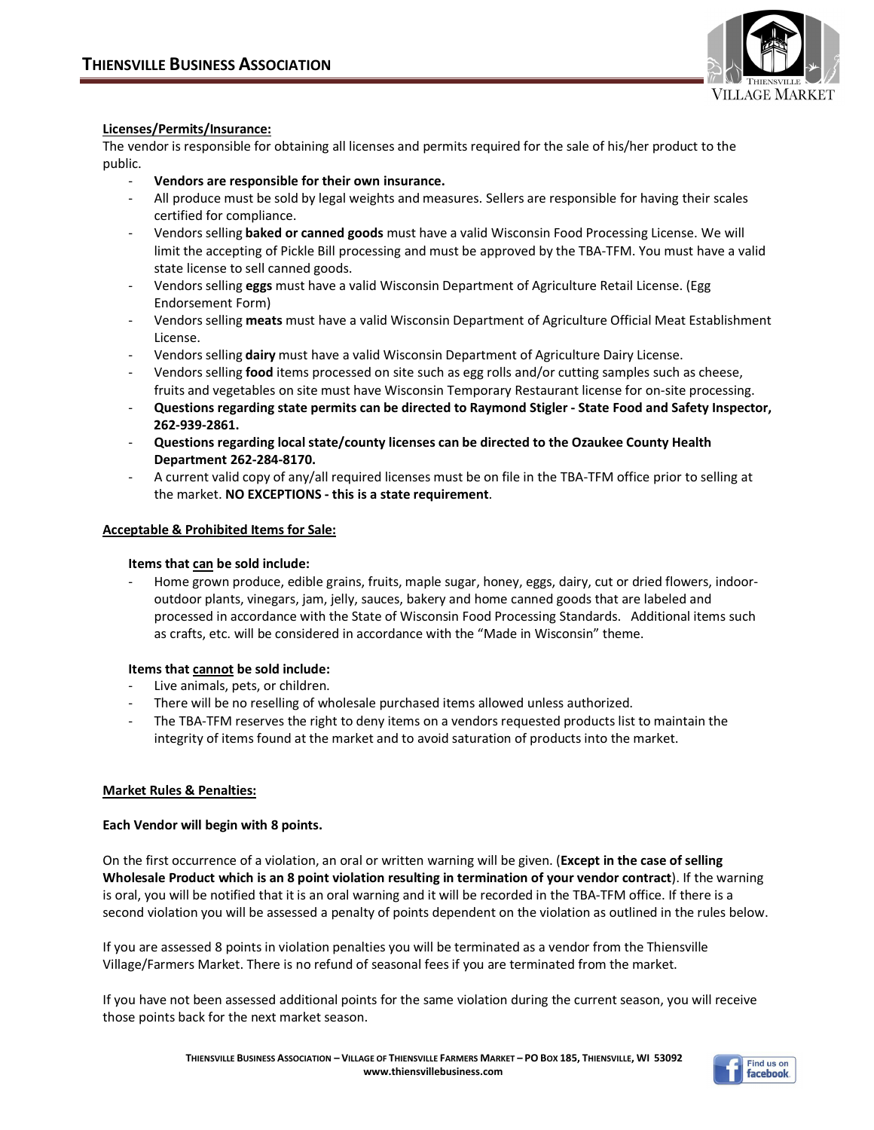

## **Licenses/Permits/Insurance:**

The vendor is responsible for obtaining all licenses and permits required for the sale of his/her product to the public.

- **Vendors are responsible for their own insurance.**
- All produce must be sold by legal weights and measures. Sellers are responsible for having their scales certified for compliance.
- Vendors selling **baked or canned goods** must have a valid Wisconsin Food Processing License. We will limit the accepting of Pickle Bill processing and must be approved by the TBA-TFM. You must have a valid state license to sell canned goods.
- Vendors selling **eggs** must have a valid Wisconsin Department of Agriculture Retail License. (Egg Endorsement Form)
- Vendors selling **meats** must have a valid Wisconsin Department of Agriculture Official Meat Establishment License.
- Vendors selling **dairy** must have a valid Wisconsin Department of Agriculture Dairy License.
- Vendors selling **food** items processed on site such as egg rolls and/or cutting samples such as cheese, fruits and vegetables on site must have Wisconsin Temporary Restaurant license for on-site processing.
- **Questions regarding state permits can be directed to Raymond Stigler State Food and Safety Inspector, 262-939-2861.**
- **Questions regarding local state/county licenses can be directed to the Ozaukee County Health Department 262-284-8170.**
- A current valid copy of any/all required licenses must be on file in the TBA-TFM office prior to selling at the market. **NO EXCEPTIONS - this is a state requirement**.

## **Acceptable & Prohibited Items for Sale:**

## **Items that can be sold include:**

Home grown produce, edible grains, fruits, maple sugar, honey, eggs, dairy, cut or dried flowers, indooroutdoor plants, vinegars, jam, jelly, sauces, bakery and home canned goods that are labeled and processed in accordance with the State of Wisconsin Food Processing Standards. Additional items such as crafts, etc. will be considered in accordance with the "Made in Wisconsin" theme.

## **Items that cannot be sold include:**

- Live animals, pets, or children.
- There will be no reselling of wholesale purchased items allowed unless authorized.
- The TBA-TFM reserves the right to deny items on a vendors requested products list to maintain the integrity of items found at the market and to avoid saturation of products into the market.

## **Market Rules & Penalties:**

## **Each Vendor will begin with 8 points.**

On the first occurrence of a violation, an oral or written warning will be given. (**Except in the case of selling Wholesale Product which is an 8 point violation resulting in termination of your vendor contract**). If the warning is oral, you will be notified that it is an oral warning and it will be recorded in the TBA-TFM office. If there is a second violation you will be assessed a penalty of points dependent on the violation as outlined in the rules below.

If you are assessed 8 points in violation penalties you will be terminated as a vendor from the Thiensville Village/Farmers Market. There is no refund of seasonal fees if you are terminated from the market.

If you have not been assessed additional points for the same violation during the current season, you will receive those points back for the next market season.

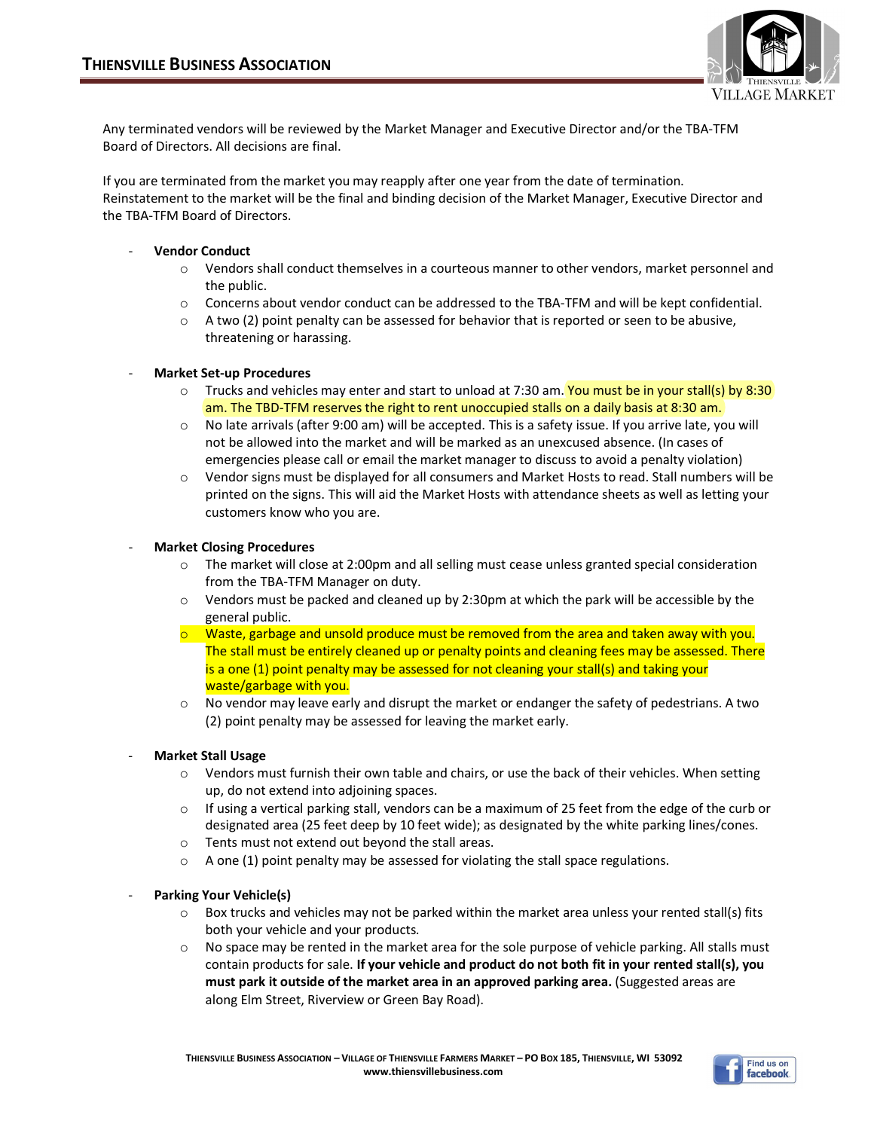

Any terminated vendors will be reviewed by the Market Manager and Executive Director and/or the TBA-TFM Board of Directors. All decisions are final.

If you are terminated from the market you may reapply after one year from the date of termination. Reinstatement to the market will be the final and binding decision of the Market Manager, Executive Director and the TBA-TFM Board of Directors.

## - **Vendor Conduct**

- o Vendors shall conduct themselves in a courteous manner to other vendors, market personnel and the public.
- $\circ$  Concerns about vendor conduct can be addressed to the TBA-TFM and will be kept confidential.
- $\circ$  A two (2) point penalty can be assessed for behavior that is reported or seen to be abusive, threatening or harassing.

## - **Market Set-up Procedures**

- $\circ$  Trucks and vehicles may enter and start to unload at 7:30 am. You must be in your stall(s) by 8:30 am. The TBD-TFM reserves the right to rent unoccupied stalls on a daily basis at 8:30 am.
- o No late arrivals (after 9:00 am) will be accepted. This is a safety issue. If you arrive late, you will not be allowed into the market and will be marked as an unexcused absence. (In cases of emergencies please call or email the market manager to discuss to avoid a penalty violation)
- o Vendor signs must be displayed for all consumers and Market Hosts to read. Stall numbers will be printed on the signs. This will aid the Market Hosts with attendance sheets as well as letting your customers know who you are.

## - **Market Closing Procedures**

- o The market will close at 2:00pm and all selling must cease unless granted special consideration from the TBA-TFM Manager on duty.
- o Vendors must be packed and cleaned up by 2:30pm at which the park will be accessible by the general public.
- $\circ$  Waste, garbage and unsold produce must be removed from the area and taken away with you. The stall must be entirely cleaned up or penalty points and cleaning fees may be assessed. There is a one (1) point penalty may be assessed for not cleaning your stall(s) and taking your waste/garbage with you.
- $\circ$  No vendor may leave early and disrupt the market or endanger the safety of pedestrians. A two (2) point penalty may be assessed for leaving the market early.

## - **Market Stall Usage**

- o Vendors must furnish their own table and chairs, or use the back of their vehicles. When setting up, do not extend into adjoining spaces.
- $\circ$  If using a vertical parking stall, vendors can be a maximum of 25 feet from the edge of the curb or designated area (25 feet deep by 10 feet wide); as designated by the white parking lines/cones.
- o Tents must not extend out beyond the stall areas.
- o A one (1) point penalty may be assessed for violating the stall space regulations.

## **Parking Your Vehicle(s)**

- $\circ$  Box trucks and vehicles may not be parked within the market area unless your rented stall(s) fits both your vehicle and your products.
- o No space may be rented in the market area for the sole purpose of vehicle parking. All stalls must contain products for sale. **If your vehicle and product do not both fit in your rented stall(s), you must park it outside of the market area in an approved parking area.** (Suggested areas are along Elm Street, Riverview or Green Bay Road).

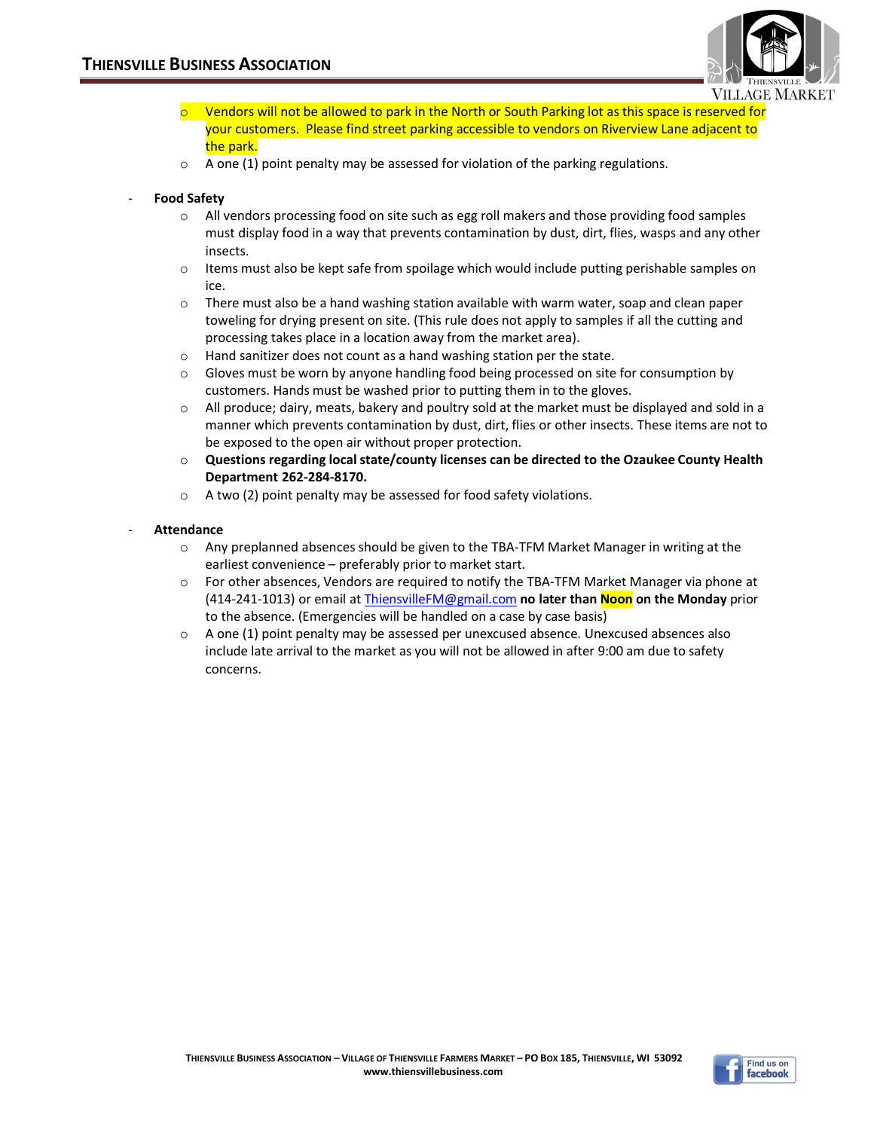

- $\circ$  Vendors will not be allowed to park in the North or South Parking lot as this space is reserved for your customers. Please find street parking accessible to vendors on Riverview Lane adjacent to the park.
- o A one (1) point penalty may be assessed for violation of the parking regulations.

# - **Food Safety**

- $\circ$  All vendors processing food on site such as egg roll makers and those providing food samples must display food in a way that prevents contamination by dust, dirt, flies, wasps and any other insects.
- $\circ$  Items must also be kept safe from spoilage which would include putting perishable samples on ice.
- $\circ$  There must also be a hand washing station available with warm water, soap and clean paper toweling for drying present on site. (This rule does not apply to samples if all the cutting and processing takes place in a location away from the market area).
- o Hand sanitizer does not count as a hand washing station per the state.
- o Gloves must be worn by anyone handling food being processed on site for consumption by customers. Hands must be washed prior to putting them in to the gloves.
- o All produce; dairy, meats, bakery and poultry sold at the market must be displayed and sold in a manner which prevents contamination by dust, dirt, flies or other insects. These items are not to be exposed to the open air without proper protection.
- o **Questions regarding local state/county licenses can be directed to the Ozaukee County Health Department 262-284-8170.**
- o A two (2) point penalty may be assessed for food safety violations.
- **Attendance**
	- o Any preplanned absences should be given to the TBA-TFM Market Manager in writing at the earliest convenience – preferably prior to market start.
	- o For other absences, Vendors are required to notify the TBA-TFM Market Manager via phone at (414-241-1013) or email at [ThiensvilleFM@gmail.com](mailto:ThiensvilleFM@gmail.com) **no later than Noon on the Monday** prior to the absence. (Emergencies will be handled on a case by case basis)
	- $\circ$  A one (1) point penalty may be assessed per unexcused absence. Unexcused absences also include late arrival to the market as you will not be allowed in after 9:00 am due to safety concerns.